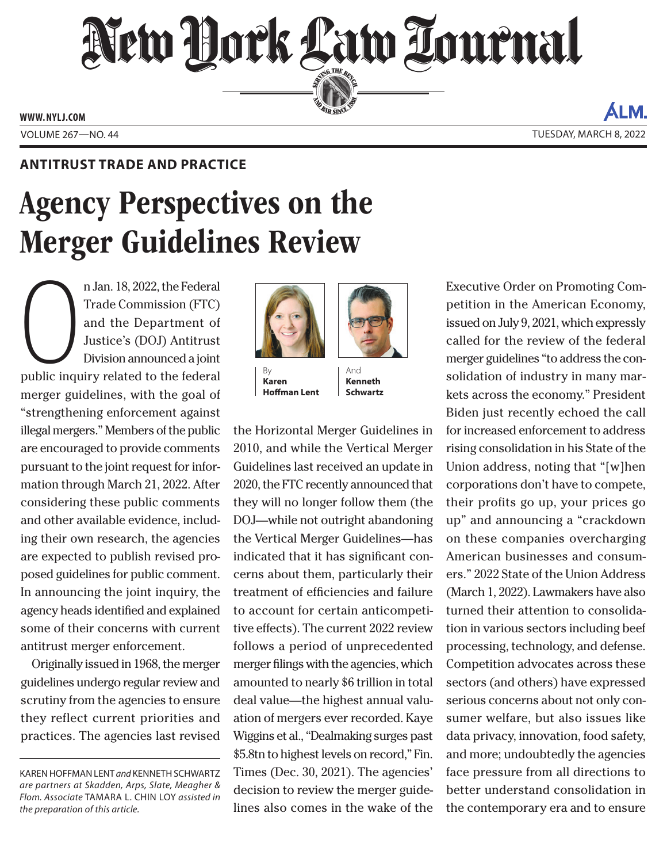## New York Law Lournal SERVING THE BET

**ED BAR SINCE 1888** 

**www. NYLJ.com**

Volume 267—NO. 44 Tuesday, March 8, 2022

ALM

## **Antitrust Trade and Practice**

## Agency Perspectives on the Merger Guidelines Review

n Jan. 18, 2022, the Federal<br>Trade Commission (FTC)<br>and the Department of<br>Justice's (DOJ) Antitrust<br>Division announced a joint<br>public inquiry related to the federal n Jan. 18, 2022, the Federal Trade Commission (FTC) and the Department of Justice's (DOJ) Antitrust Division announced a joint merger guidelines, with the goal of "strengthening enforcement against illegal mergers." Members of the public are encouraged to provide comments pursuant to the joint request for information through March 21, 2022. After considering these public comments and other available evidence, including their own research, the agencies are expected to publish revised proposed guidelines for public comment. In announcing the joint inquiry, the agency heads identified and explained some of their concerns with current antitrust merger enforcement.

Originally issued in 1968, the merger guidelines undergo regular review and scrutiny from the agencies to ensure they reflect current priorities and practices. The agencies last revised



**Karen Hoffman Lent**

the Horizontal Merger Guidelines in 2010, and while the Vertical Merger Guidelines last received an update in 2020, the FTC recently announced that they will no longer follow them (the DOJ—while not outright abandoning the Vertical Merger Guidelines—has indicated that it has significant concerns about them, particularly their treatment of efficiencies and failure to account for certain anticompetitive effects). The current 2022 review follows a period of unprecedented merger filings with the agencies, which amounted to nearly \$6 trillion in total deal value—the highest annual valuation of mergers ever recorded. Kaye Wiggins et al., "Dealmaking surges past \$5.8tn to highest levels on record," Fin. Times (Dec. 30, 2021). The agencies' decision to review the merger guidelines also comes in the wake of the

And **Kenneth Schwartz** Executive Order on Promoting Competition in the American Economy, issued on July 9, 2021, which expressly called for the review of the federal merger guidelines "to address the consolidation of industry in many markets across the economy." President Biden just recently echoed the call for increased enforcement to address rising consolidation in his State of the Union address, noting that "[w]hen corporations don't have to compete, their profits go up, your prices go up" and announcing a "crackdown on these companies overcharging American businesses and consumers." 2022 State of the Union Address (March 1, 2022). Lawmakers have also turned their attention to consolidation in various sectors including beef processing, technology, and defense. Competition advocates across these sectors (and others) have expressed serious concerns about not only consumer welfare, but also issues like data privacy, innovation, food safety, and more; undoubtedly the agencies face pressure from all directions to better understand consolidation in the contemporary era and to ensure

KAREN HOFFMAN LENT and KENNETH SCHWARTZ *are partners at Skadden, Arps, Slate, Meagher & Flom. Associate* Tamara L. Chin Loy *assisted in the preparation of this article.*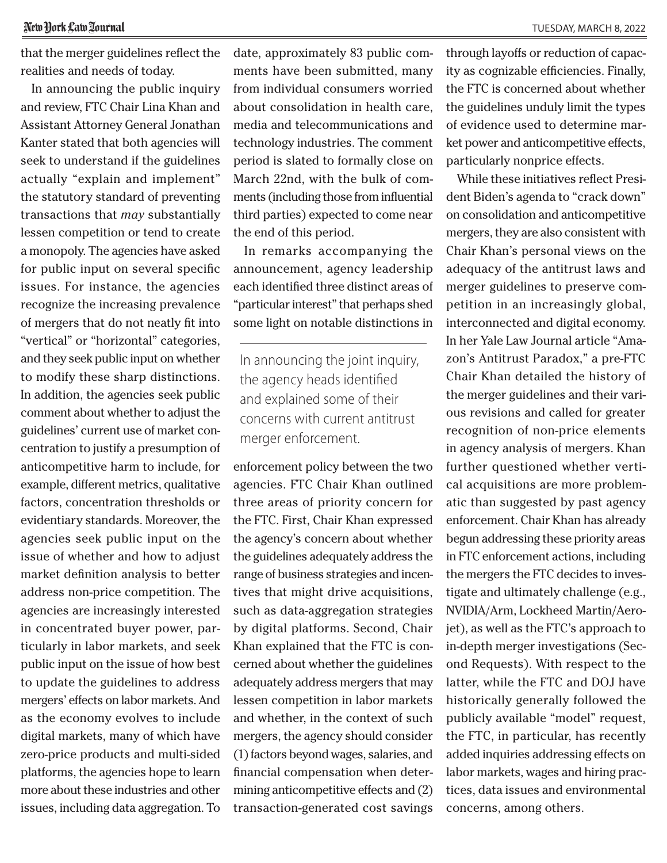## New York Law Tournal

that the merger guidelines reflect the realities and needs of today.

In announcing the public inquiry and review, FTC Chair Lina Khan and Assistant Attorney General Jonathan Kanter stated that both agencies will seek to understand if the guidelines actually "explain and implement" the statutory standard of preventing transactions that *may* substantially lessen competition or tend to create a monopoly. The agencies have asked for public input on several specific issues. For instance, the agencies recognize the increasing prevalence of mergers that do not neatly fit into "vertical" or "horizontal" categories, and they seek public input on whether to modify these sharp distinctions. In addition, the agencies seek public comment about whether to adjust the guidelines' current use of market concentration to justify a presumption of anticompetitive harm to include, for example, different metrics, qualitative factors, concentration thresholds or evidentiary standards. Moreover, the agencies seek public input on the issue of whether and how to adjust market definition analysis to better address non-price competition. The agencies are increasingly interested in concentrated buyer power, particularly in labor markets, and seek public input on the issue of how best to update the guidelines to address mergers' effects on labor markets. And as the economy evolves to include digital markets, many of which have zero-price products and multi-sided platforms, the agencies hope to learn more about these industries and other issues, including data aggregation. To date, approximately 83 public comments have been submitted, many from individual consumers worried about consolidation in health care, media and telecommunications and technology industries. The comment period is slated to formally close on March 22nd, with the bulk of comments (including those from influential third parties) expected to come near the end of this period.

In remarks accompanying the announcement, agency leadership each identified three distinct areas of "particular interest" that perhaps shed some light on notable distinctions in

In announcing the joint inquiry, the agency heads identified and explained some of their concerns with current antitrust merger enforcement.

enforcement policy between the two agencies. FTC Chair Khan outlined three areas of priority concern for the FTC. First, Chair Khan expressed the agency's concern about whether the guidelines adequately address the range of business strategies and incentives that might drive acquisitions, such as data-aggregation strategies by digital platforms. Second, Chair Khan explained that the FTC is concerned about whether the guidelines adequately address mergers that may lessen competition in labor markets and whether, in the context of such mergers, the agency should consider (1) factors beyond wages, salaries, and financial compensation when determining anticompetitive effects and (2) transaction-generated cost savings

through layoffs or reduction of capacity as cognizable efficiencies. Finally, the FTC is concerned about whether the guidelines unduly limit the types of evidence used to determine market power and anticompetitive effects, particularly nonprice effects.

While these initiatives reflect President Biden's agenda to "crack down" on consolidation and anticompetitive mergers, they are also consistent with Chair Khan's personal views on the adequacy of the antitrust laws and merger guidelines to preserve competition in an increasingly global, interconnected and digital economy. In her Yale Law Journal article "Amazon's Antitrust Paradox," a pre-FTC Chair Khan detailed the history of the merger guidelines and their various revisions and called for greater recognition of non-price elements in agency analysis of mergers. Khan further questioned whether vertical acquisitions are more problematic than suggested by past agency enforcement. Chair Khan has already begun addressing these priority areas in FTC enforcement actions, including the mergers the FTC decides to investigate and ultimately challenge (e.g., NVIDIA/Arm, Lockheed Martin/Aerojet), as well as the FTC's approach to in-depth merger investigations (Second Requests). With respect to the latter, while the FTC and DOJ have historically generally followed the publicly available "model" request, the FTC, in particular, has recently added inquiries addressing effects on labor markets, wages and hiring practices, data issues and environmental concerns, among others.